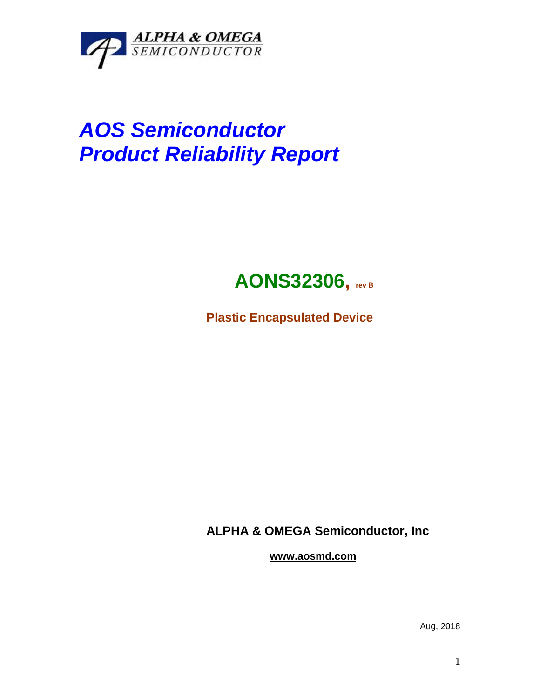

# *AOS Semiconductor Product Reliability Report*

## **AONS32306, rev <sup>B</sup>**

**Plastic Encapsulated Device**

**ALPHA & OMEGA Semiconductor, Inc**

**www.aosmd.com**

Aug, 2018